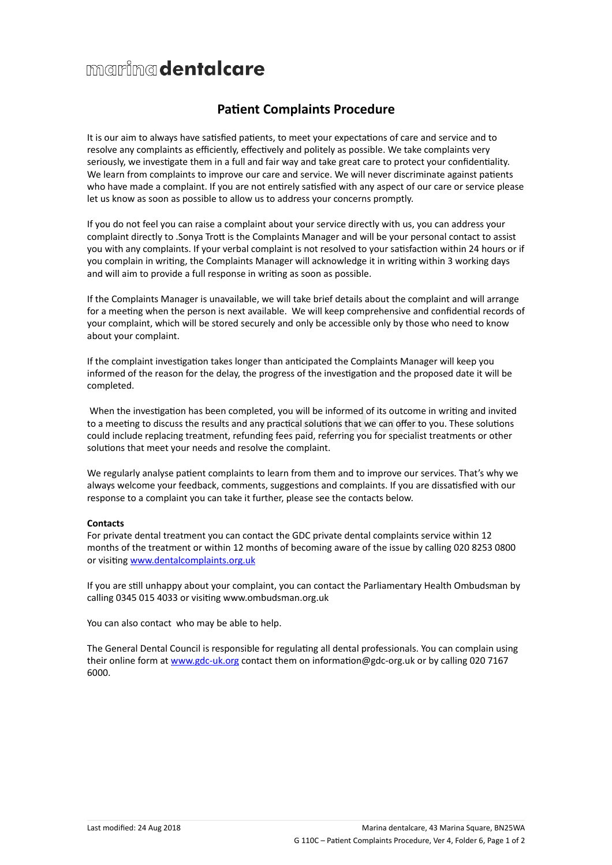## **maring dentalcare**

### **Patient Complaints Procedure**

It is our aim to always have satisfied patients, to meet your expectations of care and service and to resolve any complaints as efficiently, effectively and politely as possible. We take complaints very seriously, we investigate them in a full and fair way and take great care to protect your confidentiality. We learn from complaints to improve our care and service. We will never discriminate against patients who have made a complaint. If you are not entirely satisfied with any aspect of our care or service please let us know as soon as possible to allow us to address your concerns promptly.

If you do not feel you can raise a complaint about your service directly with us, you can address your complaint directly to .Sonya Trott is the Complaints Manager and will be your personal contact to assist you with any complaints. If your verbal complaint is not resolved to your satisfaction within 24 hours or if you complain in writing, the Complaints Manager will acknowledge it in writing within 3 working days and will aim to provide a full response in writing as soon as possible.

If the Complaints Manager is unavailable, we will take brief details about the complaint and will arrange for a meeting when the person is next available. We will keep comprehensive and confidential records of your complaint, which will be stored securely and only be accessible only by those who need to know about your complaint.

If the complaint investigation takes longer than anticipated the Complaints Manager will keep you informed of the reason for the delay, the progress of the investigation and the proposed date it will be completed.

When the investigation has been completed, you will be informed of its outcome in writing and invited to a meeting to discuss the results and any practical solutions that we can offer to you. These solutions could include replacing treatment, refunding fees paid, referring you for specialist treatments or other solutions that meet your needs and resolve the complaint.

We regularly analyse patient complaints to learn from them and to improve our services. That's why we always welcome your feedback, comments, suggestions and complaints. If you are dissatisfied with our response to a complaint you can take it further, please see the contacts below.

#### **Contacts**

For private dental treatment you can contact the GDC private dental complaints service within 12 months of the treatment or within 12 months of becoming aware of the issue by calling 020 8253 0800 or visiting [www.dentalcomplaints.org.uk](http://www.dentalcomplaints.org.uk/)

If you are still unhappy about your complaint, you can contact the Parliamentary Health Ombudsman by calling 0345 015 4033 or visiting www.ombudsman.org.uk

You can also contact who may be able to help.

The General Dental Council is responsible for regulating all dental professionals. You can complain using their online form at [www.gdc-uk.org](http://contactus.gdc-uk.org/Enquiry/SelectType) contact them on information@gdc-org.uk or by calling 020 7167 6000.